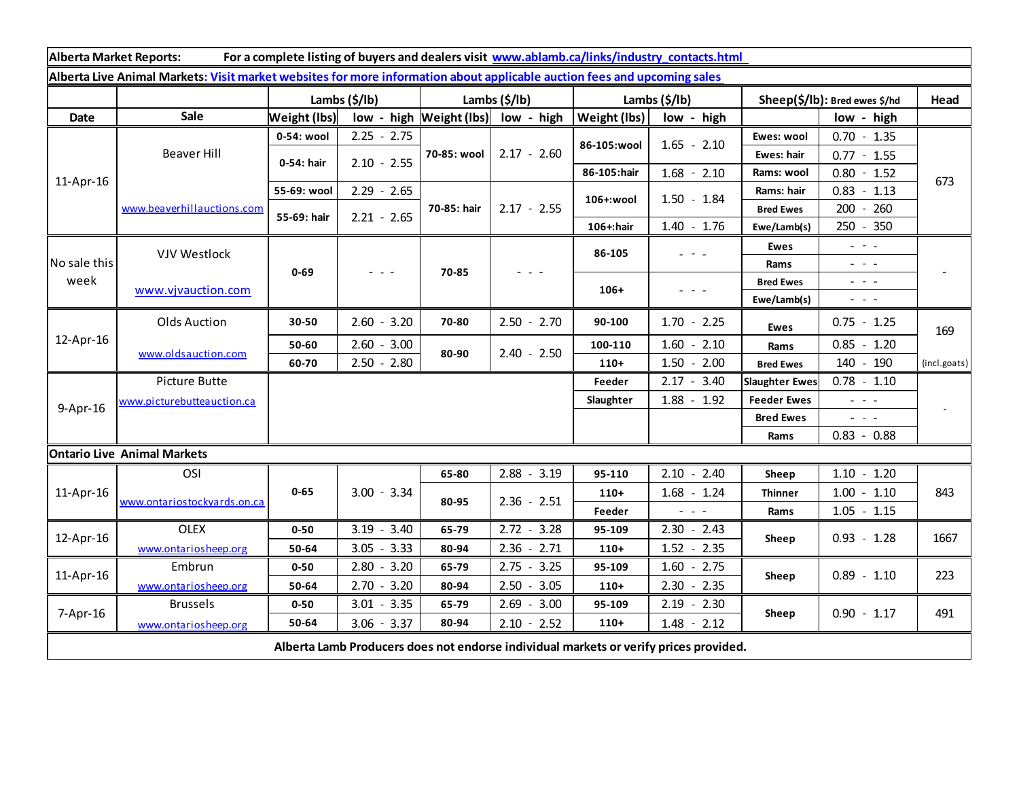| Alberta Market Reports:<br>For a complete listing of buyers and dealers visit www.ablamb.ca/links/industry_contacts.html |                             |                       |                                                                                                                           |                             |                        |               |                                             |                               |                                                                                                                                                                                                                                                                                                                                                                                                                                                |              |
|--------------------------------------------------------------------------------------------------------------------------|-----------------------------|-----------------------|---------------------------------------------------------------------------------------------------------------------------|-----------------------------|------------------------|---------------|---------------------------------------------|-------------------------------|------------------------------------------------------------------------------------------------------------------------------------------------------------------------------------------------------------------------------------------------------------------------------------------------------------------------------------------------------------------------------------------------------------------------------------------------|--------------|
| Alberta Live Animal Markets: Visit market websites for more information about applicable auction fees and upcoming sales |                             |                       |                                                                                                                           |                             |                        |               |                                             |                               |                                                                                                                                                                                                                                                                                                                                                                                                                                                |              |
|                                                                                                                          |                             | Lambs $(\frac{2}{3})$ |                                                                                                                           | Lambs (\$/lb)               |                        | Lambs (\$/lb) |                                             | Sheep(\$/lb): Bred ewes \$/hd |                                                                                                                                                                                                                                                                                                                                                                                                                                                | Head         |
| Date                                                                                                                     | Sale                        | Weight (lbs)          |                                                                                                                           | $low - high$   Weight (Ibs) | low - high             | Weight (lbs)  | low - high                                  |                               | low - high                                                                                                                                                                                                                                                                                                                                                                                                                                     |              |
| 11-Apr-16                                                                                                                | <b>Beaver Hill</b>          | 0-54: wool            | $2.25 - 2.75$                                                                                                             | 70-85: wool                 | $2.17 - 2.60$          | 86-105:wool   | $1.65 - 2.10$                               | Ewes: wool                    | $0.70 - 1.35$                                                                                                                                                                                                                                                                                                                                                                                                                                  | 673          |
|                                                                                                                          |                             | 0-54: hair            | $2.10 - 2.55$                                                                                                             |                             |                        |               |                                             | Ewes: hair                    | $0.77 - 1.55$                                                                                                                                                                                                                                                                                                                                                                                                                                  |              |
|                                                                                                                          |                             |                       |                                                                                                                           |                             |                        | 86-105:hair   | $1.68 - 2.10$                               | Rams: wool                    | $0.80 - 1.52$                                                                                                                                                                                                                                                                                                                                                                                                                                  |              |
|                                                                                                                          | www.beaverhillauctions.com  | 55-69: wool           | $2.29 - 2.65$                                                                                                             | 70-85: hair                 | $2.17 - 2.55$          | 106+:wool     | $1.50 - 1.84$                               | Rams: hair                    | $-1.13$<br>0.83                                                                                                                                                                                                                                                                                                                                                                                                                                |              |
|                                                                                                                          |                             | 55-69: hair           | $2.21 - 2.65$                                                                                                             |                             |                        |               |                                             | <b>Bred Ewes</b>              | 260<br>$200 -$                                                                                                                                                                                                                                                                                                                                                                                                                                 |              |
|                                                                                                                          |                             |                       |                                                                                                                           |                             |                        | 106+:hair     | $1.40 - 1.76$                               | Ewe/Lamb(s)                   | 250 - 350                                                                                                                                                                                                                                                                                                                                                                                                                                      |              |
| No sale this<br>week                                                                                                     | VJV Westlock                | $0 - 69$              | $\frac{1}{2} \left( \frac{1}{2} \right) \left( \frac{1}{2} \right) \left( \frac{1}{2} \right) \left( \frac{1}{2} \right)$ | 70-85                       | - - -                  | 86-105        | $\omega_{\rm{eff}}$ and $\omega_{\rm{eff}}$ | <b>Ewes</b>                   | $\omega_{\rm{eff}}$ and $\omega_{\rm{eff}}$                                                                                                                                                                                                                                                                                                                                                                                                    |              |
|                                                                                                                          |                             |                       |                                                                                                                           |                             |                        |               |                                             | Rams                          | $\omega_{\rm{eff}}=0.1$                                                                                                                                                                                                                                                                                                                                                                                                                        |              |
|                                                                                                                          | www.vjvauction.com          |                       |                                                                                                                           |                             |                        | $106+$        | - - -                                       | <b>Bred Ewes</b>              | $\sim$ 100 $\sim$                                                                                                                                                                                                                                                                                                                                                                                                                              |              |
|                                                                                                                          |                             |                       |                                                                                                                           |                             |                        |               |                                             | Ewe/Lamb(s)                   | $\frac{1}{2} \left( \frac{1}{2} \right) \frac{1}{2} \left( \frac{1}{2} \right) \frac{1}{2} \left( \frac{1}{2} \right) \frac{1}{2} \left( \frac{1}{2} \right) \frac{1}{2} \left( \frac{1}{2} \right) \frac{1}{2} \left( \frac{1}{2} \right) \frac{1}{2} \left( \frac{1}{2} \right) \frac{1}{2} \left( \frac{1}{2} \right) \frac{1}{2} \left( \frac{1}{2} \right) \frac{1}{2} \left( \frac{1}{2} \right) \frac{1}{2} \left( \frac{1}{2} \right)$ |              |
| 12-Apr-16                                                                                                                | <b>Olds Auction</b>         | 30-50                 | $2.60 - 3.20$                                                                                                             | 70-80                       | $2.50 - 2.70$          | 90-100        | $1.70 - 2.25$                               | <b>Ewes</b>                   | $0.75 - 1.25$                                                                                                                                                                                                                                                                                                                                                                                                                                  | 169          |
|                                                                                                                          | www.oldsauction.com         | 50-60                 | $2.60 - 3.00$                                                                                                             |                             | $2.40 - 2.50$          | 100-110       | $1.60 - 2.10$                               | Rams                          | $0.85 - 1.20$                                                                                                                                                                                                                                                                                                                                                                                                                                  |              |
|                                                                                                                          |                             | 60-70                 | $2.50 - 2.80$                                                                                                             | 80-90                       |                        | $110+$        | $1.50 - 2.00$                               | <b>Bred Ewes</b>              | 140 - 190                                                                                                                                                                                                                                                                                                                                                                                                                                      | (incl.goats) |
| 9-Apr-16                                                                                                                 | Picture Butte               |                       |                                                                                                                           |                             |                        | Feeder        | $2.17 - 3.40$                               | <b>Slaughter Ewes</b>         | $0.78 - 1.10$                                                                                                                                                                                                                                                                                                                                                                                                                                  |              |
|                                                                                                                          | www.picturebutteauction.ca  |                       |                                                                                                                           |                             |                        | Slaughter     | $1.88 - 1.92$                               | <b>Feeder Ewes</b>            | $\omega_{\rm{eff}}=0.1$                                                                                                                                                                                                                                                                                                                                                                                                                        |              |
|                                                                                                                          |                             |                       |                                                                                                                           |                             |                        |               |                                             | <b>Bred Ewes</b>              | $ -$                                                                                                                                                                                                                                                                                                                                                                                                                                           |              |
|                                                                                                                          |                             |                       |                                                                                                                           |                             |                        |               |                                             | Rams                          | $0.83 - 0.88$                                                                                                                                                                                                                                                                                                                                                                                                                                  |              |
| <b>Ontario Live Animal Markets</b>                                                                                       |                             |                       |                                                                                                                           |                             |                        |               |                                             |                               |                                                                                                                                                                                                                                                                                                                                                                                                                                                |              |
| 11-Apr-16                                                                                                                | OSI                         | $0 - 65$              | $3.00 - 3.34$                                                                                                             | 65-80                       | $2.88 - 3.19$          | 95-110        | $2.10 - 2.40$                               | Sheep                         | $1.10 - 1.20$                                                                                                                                                                                                                                                                                                                                                                                                                                  |              |
|                                                                                                                          | www.ontariostockyards.on.ca |                       |                                                                                                                           | 80-95                       | $2.36 - 2.51$          | $110+$        | $1.68 - 1.24$                               | <b>Thinner</b>                | $1.00 - 1.10$                                                                                                                                                                                                                                                                                                                                                                                                                                  | 843          |
|                                                                                                                          |                             |                       |                                                                                                                           |                             |                        | Feeder        |                                             | Rams                          | $1.05 - 1.15$                                                                                                                                                                                                                                                                                                                                                                                                                                  |              |
| 12-Apr-16                                                                                                                | <b>OLEX</b>                 | $0 - 50$              | $3.19 - 3.40$                                                                                                             | 65-79                       | $2.72 - 3.28$          | 95-109        | $2.30 - 2.43$                               | Sheep                         | $0.93 - 1.28$                                                                                                                                                                                                                                                                                                                                                                                                                                  | 1667         |
|                                                                                                                          | www.ontariosheep.org        | 50-64                 | $3.05 - 3.33$                                                                                                             | 80-94                       | $2.36 - 2.71$          | $110+$        | $1.52 - 2.35$                               |                               |                                                                                                                                                                                                                                                                                                                                                                                                                                                |              |
| 11-Apr-16                                                                                                                | Embrun                      | $0 - 50$              | $2.80 - 3.20$                                                                                                             | 65-79                       | 3.25<br>2.75<br>$\sim$ | 95-109        | 1.60<br>$-2.75$                             | Sheep                         | $0.89 - 1.10$                                                                                                                                                                                                                                                                                                                                                                                                                                  | 223          |
|                                                                                                                          | www.ontariosheep.org        | 50-64                 | $-3.20$<br>2.70                                                                                                           | 80-94                       | 2.50<br>3.05<br>$\sim$ | $110+$        | 2.30<br>$-2.35$                             |                               |                                                                                                                                                                                                                                                                                                                                                                                                                                                |              |
| 7-Apr-16                                                                                                                 | <b>Brussels</b>             | $0 - 50$              | $3.01 - 3.35$                                                                                                             | 65-79                       | 2.69<br>$-3.00$        | 95-109        | $2.19 - 2.30$                               | Sheep                         | $0.90 - 1.17$                                                                                                                                                                                                                                                                                                                                                                                                                                  | 491          |
|                                                                                                                          | www.ontariosheep.org        | 50-64                 | $3.06 - 3.37$                                                                                                             | 80-94                       | $2.10 - 2.52$          | $110+$        | $1.48 - 2.12$                               |                               |                                                                                                                                                                                                                                                                                                                                                                                                                                                |              |
| Alberta Lamb Producers does not endorse individual markets or verify prices provided.                                    |                             |                       |                                                                                                                           |                             |                        |               |                                             |                               |                                                                                                                                                                                                                                                                                                                                                                                                                                                |              |